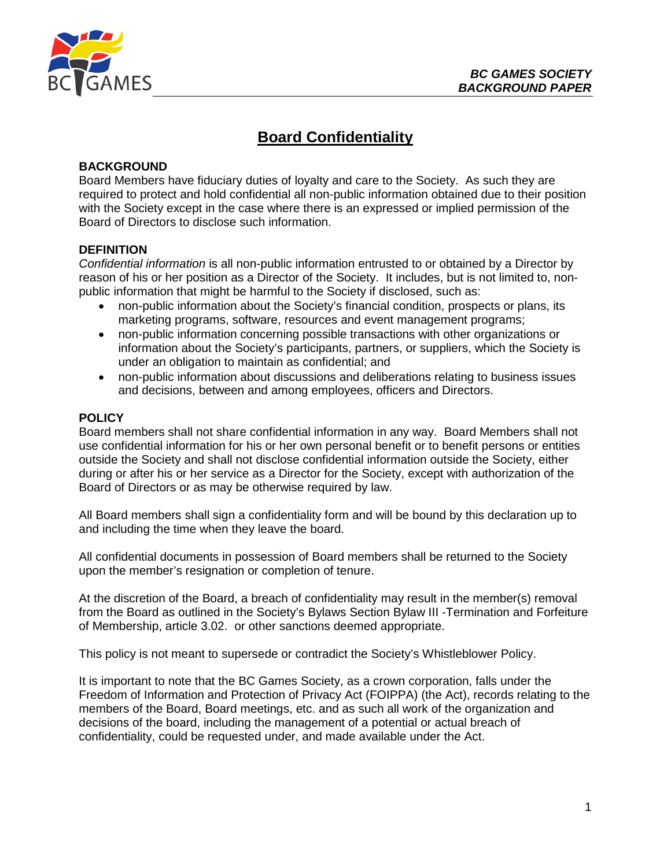

# **Board Confidentiality**

## **BACKGROUND**

Board Members have fiduciary duties of loyalty and care to the Society. As such they are required to protect and hold confidential all non-public information obtained due to their position with the Society except in the case where there is an expressed or implied permission of the Board of Directors to disclose such information.

### **DEFINITION**

*Confidential information* is all non-public information entrusted to or obtained by a Director by reason of his or her position as a Director of the Society. It includes, but is not limited to, nonpublic information that might be harmful to the Society if disclosed, such as:

- non-public information about the Society's financial condition, prospects or plans, its marketing programs, software, resources and event management programs;
- non-public information concerning possible transactions with other organizations or information about the Society's participants, partners, or suppliers, which the Society is under an obligation to maintain as confidential; and
- non-public information about discussions and deliberations relating to business issues and decisions, between and among employees, officers and Directors.

### **POLICY**

Board members shall not share confidential information in any way. Board Members shall not use confidential information for his or her own personal benefit or to benefit persons or entities outside the Society and shall not disclose confidential information outside the Society, either during or after his or her service as a Director for the Society, except with authorization of the Board of Directors or as may be otherwise required by law.

All Board members shall sign a confidentiality form and will be bound by this declaration up to and including the time when they leave the board.

All confidential documents in possession of Board members shall be returned to the Society upon the member's resignation or completion of tenure.

At the discretion of the Board, a breach of confidentiality may result in the member(s) removal from the Board as outlined in the Society's Bylaws Section Bylaw III -Termination and Forfeiture of Membership, article 3.02. or other sanctions deemed appropriate.

This policy is not meant to supersede or contradict the Society's Whistleblower Policy.

It is important to note that the BC Games Society, as a crown corporation, falls under the Freedom of Information and Protection of Privacy Act (FOIPPA) (the Act), records relating to the members of the Board, Board meetings, etc. and as such all work of the organization and decisions of the board, including the management of a potential or actual breach of confidentiality, could be requested under, and made available under the Act.